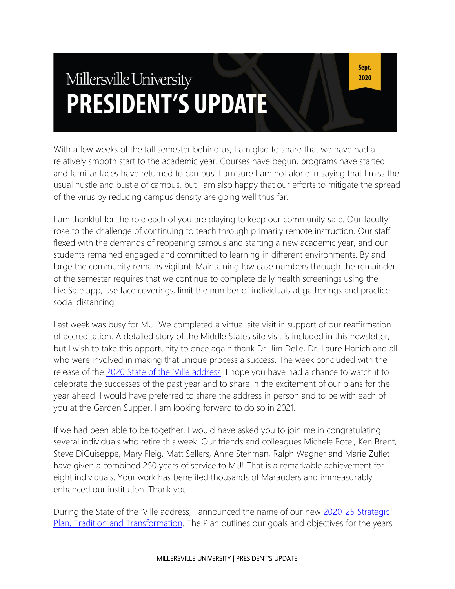# Millersville University **PRESIDENT'S UPDATE**

Sept. 2020

With a few weeks of the fall semester behind us, I am glad to share that we have had a relatively smooth start to the academic year. Courses have begun, programs have started and familiar faces have returned to campus. I am sure I am not alone in saying that I miss the usual hustle and bustle of campus, but I am also happy that our efforts to mitigate the spread of the virus by reducing campus density are going well thus far.

I am thankful for the role each of you are playing to keep our community safe. Our faculty rose to the challenge of continuing to teach through primarily remote instruction. Our staff flexed with the demands of reopening campus and starting a new academic year, and our students remained engaged and committed to learning in different environments. By and large the community remains vigilant. Maintaining low case numbers through the remainder of the semester requires that we continue to complete daily health screenings using the LiveSafe app, use face coverings, limit the number of individuals at gatherings and practice social distancing.

Last week was busy for MU. We completed a virtual site visit in support of our reaffirmation of accreditation. A detailed story of the Middle States site visit is included in this newsletter, but I wish to take this opportunity to once again thank Dr. Jim Delle, Dr. Laure Hanich and all who were involved in making that unique process a success. The week concluded with the release of the [2020 State of the 'Ville address](https://www.millersville.edu/president/sotv/index.php). I hope you have had a chance to watch it to celebrate the successes of the past year and to share in the excitement of our plans for the year ahead. I would have preferred to share the address in person and to be with each of you at the Garden Supper. I am looking forward to do so in 2021.

If we had been able to be together, I would have asked you to join me in congratulating several individuals who retire this week. Our friends and colleagues Michele Bote', Ken Brent, Steve DiGuiseppe, Mary Fleig, Matt Sellers, Anne Stehman, Ralph Wagner and Marie Zuflet have given a combined 250 years of service to MU! That is a remarkable achievement for eight individuals. Your work has benefited thousands of Marauders and immeasurably enhanced our institution. Thank you.

During the State of the 'Ville address, I announced the name of our new [2020-25 Strategic](https://www.millersville.edu/iea/planning/index.php)  [Plan, Tradition and Transformation.](https://www.millersville.edu/iea/planning/index.php) The Plan outlines our goals and objectives for the years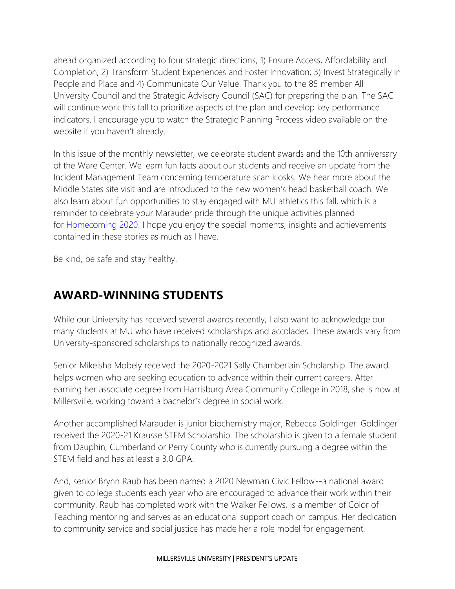ahead organized according to four strategic directions, 1) Ensure Access, Affordability and Completion; 2) Transform Student Experiences and Foster Innovation; 3) Invest Strategically in People and Place and 4) Communicate Our Value. Thank you to the 85 member All University Council and the Strategic Advisory Council (SAC) for preparing the plan. The SAC will continue work this fall to prioritize aspects of the plan and develop key performance indicators. I encourage you to watch the Strategic Planning Process video available on the website if you haven't already.

In this issue of the monthly newsletter, we celebrate student awards and the 10th anniversary of the Ware Center. We learn fun facts about our students and receive an update from the Incident Management Team concerning temperature scan kiosks. We hear more about the Middle States site visit and are introduced to the new women's head basketball coach. We also learn about fun opportunities to stay engaged with MU athletics this fall, which is a reminder to celebrate your Marauder pride through the unique activities planned for [Homecoming 2020.](https://www.millersville.edu/alumni/events-reunions/homecoming.php) I hope you enjoy the special moments, insights and achievements contained in these stories as much as I have.

Be kind, be safe and stay healthy.

### **AWARD-WINNING STUDENTS**

While our University has received several awards recently, I also want to acknowledge our many students at MU who have received scholarships and accolades. These awards vary from University-sponsored scholarships to nationally recognized awards.

Senior Mikeisha Mobely received the 2020-2021 Sally Chamberlain Scholarship. The award helps women who are seeking education to advance within their current careers. After earning her associate degree from Harrisburg Area Community College in 2018, she is now at Millersville, working toward a bachelor's degree in social work.

Another accomplished Marauder is junior biochemistry major, Rebecca Goldinger. Goldinger received the 2020-21 Krausse STEM Scholarship. The scholarship is given to a female student from Dauphin, Cumberland or Perry County who is currently pursuing a degree within the STEM field and has at least a 3.0 GPA.

And, senior Brynn Raub has been named a 2020 Newman Civic Fellow--a national award given to college students each year who are encouraged to advance their work within their community. Raub has completed work with the Walker Fellows, is a member of Color of Teaching mentoring and serves as an educational support coach on campus. Her dedication to community service and social justice has made her a role model for engagement.

#### MILLERSVILLE UNIVERSITY | PRESIDENT'S UPDATE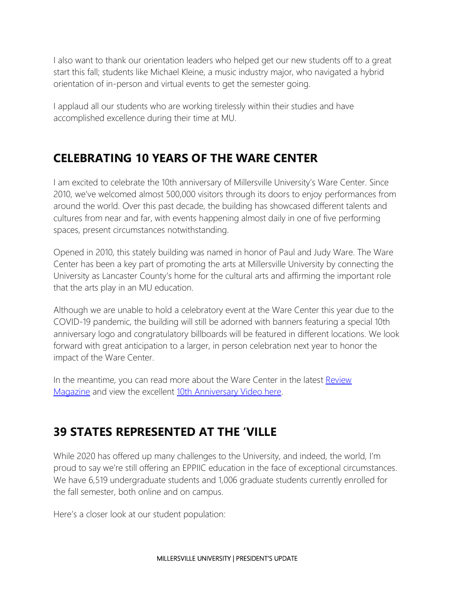I also want to thank our orientation leaders who helped get our new students off to a great start this fall; students like Michael Kleine, a music industry major, who navigated a hybrid orientation of in-person and virtual events to get the semester going.

I applaud all our students who are working tirelessly within their studies and have accomplished excellence during their time at MU.

#### **CELEBRATING 10 YEARS OF THE WARE CENTER**

I am excited to celebrate the 10th anniversary of Millersville University's Ware Center. Since 2010, we've welcomed almost 500,000 visitors through its doors to enjoy performances from around the world. Over this past decade, the building has showcased different talents and cultures from near and far, with events happening almost daily in one of five performing spaces, present circumstances notwithstanding.

Opened in 2010, this stately building was named in honor of Paul and Judy Ware. The Ware Center has been a key part of promoting the arts at Millersville University by connecting the University as Lancaster County's home for the cultural arts and affirming the important role that the arts play in an MU education.

Although we are unable to hold a celebratory event at the Ware Center this year due to the COVID-19 pandemic, the building will still be adorned with banners featuring a special 10th anniversary logo and congratulatory billboards will be featured in different locations. We look forward with great anticipation to a larger, in person celebration next year to honor the impact of the Ware Center.

In the meantime, you can read more about the Ware Center in the latest Review [Magazine](https://blogs.millersville.edu/news/2020/07/23/the-ware-center-celebrates-10-years/) and view the excellent [10th Anniversary Video here.](https://www.youtube.com/watch?v=NQrnaMcL83Q&feature=youtu.be)

#### **39 STATES REPRESENTED AT THE 'VILLE**

While 2020 has offered up many challenges to the University, and indeed, the world, I'm proud to say we're still offering an EPPIIC education in the face of exceptional circumstances. We have 6,519 undergraduate students and 1,006 graduate students currently enrolled for the fall semester, both online and on campus.

Here's a closer look at our student population: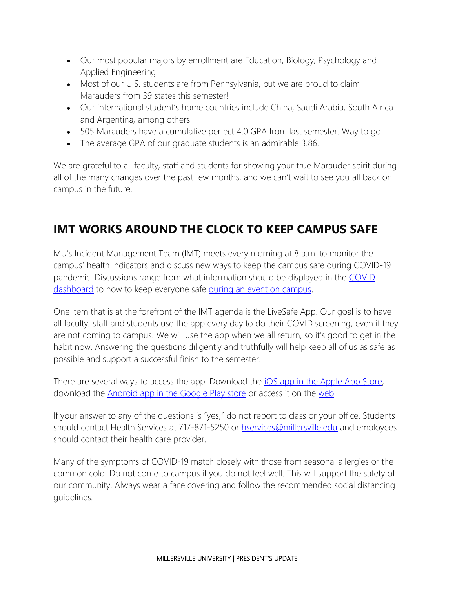- Our most popular majors by enrollment are Education, Biology, Psychology and Applied Engineering.
- Most of our U.S. students are from Pennsylvania, but we are proud to claim Marauders from 39 states this semester!
- Our international student's home countries include China, Saudi Arabia, South Africa and Argentina, among others.
- 505 Marauders have a cumulative perfect 4.0 GPA from last semester. Way to go!
- The average GPA of our graduate students is an admirable 3.86.

We are grateful to all faculty, staff and students for showing your true Marauder spirit during all of the many changes over the past few months, and we can't wait to see you all back on campus in the future.

# **IMT WORKS AROUND THE CLOCK TO KEEP CAMPUS SAFE**

MU's Incident Management Team (IMT) meets every morning at 8 a.m. to monitor the campus' health indicators and discuss new ways to keep the campus safe during COVID-19 pandemic. Discussions range from what information should be displayed in the [COVID](https://www.millersville.edu/coronavirus/covid-19-dashboard.php)  [dashboard](https://www.millersville.edu/coronavirus/covid-19-dashboard.php) to how to keep everyone safe [during an event on campus.](https://blogs.millersville.edu/villedaily/files/2020/09/How-to-host-an-event.pdf)

One item that is at the forefront of the IMT agenda is the LiveSafe App. Our goal is to have all faculty, staff and students use the app every day to do their COVID screening, even if they are not coming to campus. We will use the app when we all return, so it's good to get in the habit now. Answering the questions diligently and truthfully will help keep all of us as safe as possible and support a successful finish to the semester.

There are several ways to access the app: Download the [iOS app in the Apple App Store,](https://apps.apple.com/us/app/livesafe/id653666211) download the [Android app in the Google Play store](https://play.google.com/store/apps/details?id=com.livesafe.activities&hl=en_US) or access it on the [web.](https://livesafe.jotform.com/202265356232853)

If your answer to any of the questions is "yes," do not report to class or your office. Students should contact Health Services at 717-871-5250 or [hservices@millersville.edu](mailto:hservices@millersville.edu) and employees should contact their health care provider.

Many of the symptoms of COVID-19 match closely with those from seasonal allergies or the common cold. Do not come to campus if you do not feel well. This will support the safety of our community. Always wear a face covering and follow the recommended social distancing guidelines.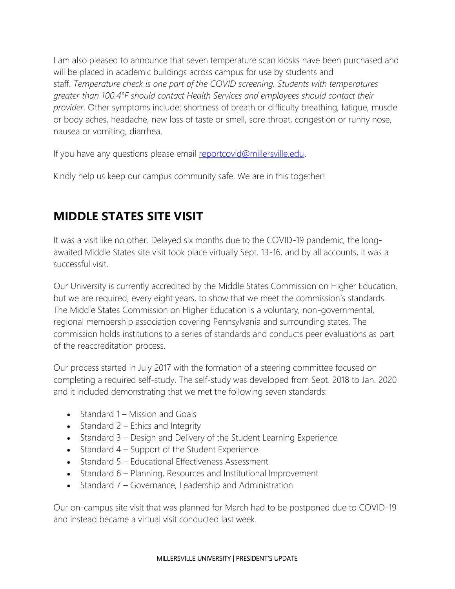I am also pleased to announce that seven temperature scan kiosks have been purchased and will be placed in academic buildings across campus for use by students and staff. *Temperature check is one part of the COVID screening. Students with temperatures greater than 100.4°F should contact Health Services and employees should contact their provider*. Other symptoms include: shortness of breath or difficulty breathing, fatigue, muscle or body aches, headache, new loss of taste or smell, sore throat, congestion or runny nose, nausea or vomiting, diarrhea.

If you have any questions please email [reportcovid@millersville.edu.](mailto:reportcovid@millersville.edu)

Kindly help us keep our campus community safe. We are in this together!

### **MIDDLE STATES SITE VISIT**

It was a visit like no other. Delayed six months due to the COVID-19 pandemic, the longawaited Middle States site visit took place virtually Sept. 13-16, and by all accounts, it was a successful visit.

Our University is currently accredited by the Middle States Commission on Higher Education, but we are required, every eight years, to show that we meet the commission's standards. The Middle States Commission on Higher Education is a voluntary, non-governmental, regional membership association covering Pennsylvania and surrounding states. The commission holds institutions to a series of standards and conducts peer evaluations as part of the reaccreditation process.

Our process started in July 2017 with the formation of a steering committee focused on completing a required self-study. The self-study was developed from Sept. 2018 to Jan. 2020 and it included demonstrating that we met the following seven standards:

- Standard 1 Mission and Goals
- Standard 2 Ethics and Integrity
- Standard 3 Design and Delivery of the Student Learning Experience
- Standard 4 Support of the Student Experience
- Standard 5 Educational Effectiveness Assessment
- Standard 6 Planning, Resources and Institutional Improvement
- Standard 7 Governance, Leadership and Administration

Our on-campus site visit that was planned for March had to be postponed due to COVID-19 and instead became a virtual visit conducted last week.